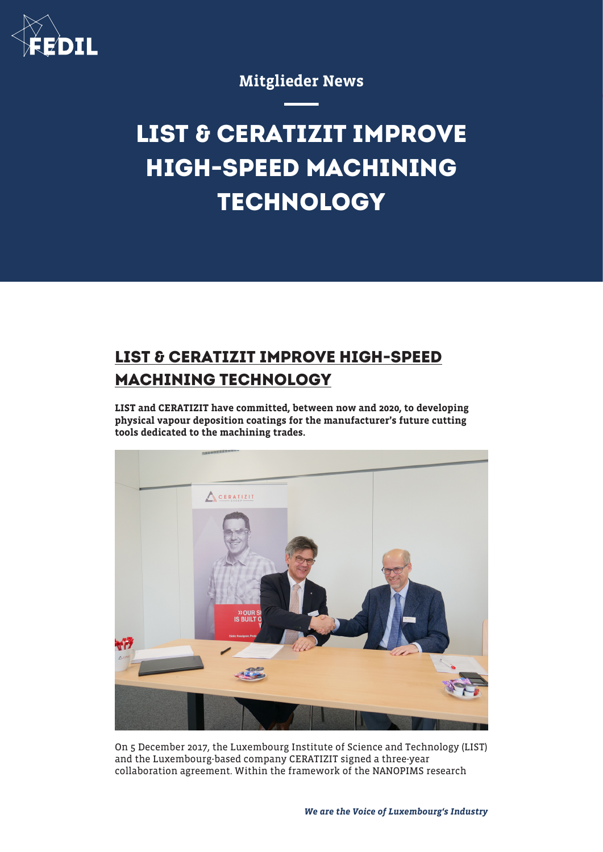

### Mitglieder News

# **LIST & CERATIZIT IMPROVE HIGH-SPEED MACHINING TECHNOLOGY**

## **LIST & CERATIZIT IMPROVE HIGH-SPEED MACHINING TECHNOLOGY**

LIST and CERATIZIT have committed, between now and 2020, to developing physical vapour deposition coatings for the manufacturer's future cutting tools dedicated to the machining trades.



On 5 December 2017, the Luxembourg Institute of Science and Technology (LIST) and the Luxembourg-based company CERATIZIT signed a three-year collaboration agreement. Within the framework of the NANOPIMS research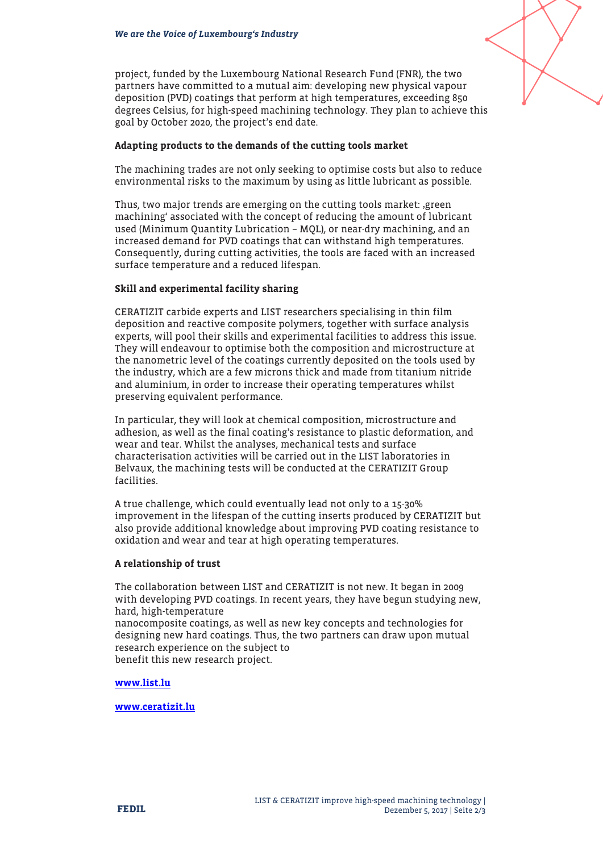

project, funded by the Luxembourg National Research Fund (FNR), the two partners have committed to a mutual aim: developing new physical vapour deposition (PVD) coatings that perform at high temperatures, exceeding 850 degrees Celsius, for high-speed machining technology. They plan to achieve this goal by October 2020, the project's end date.

#### Adapting products to the demands of the cutting tools market

The machining trades are not only seeking to optimise costs but also to reduce environmental risks to the maximum by using as little lubricant as possible.

Thus, two major trends are emerging on the cutting tools market: 'green machining' associated with the concept of reducing the amount of lubricant used (Minimum Quantity Lubrication – MQL), or near-dry machining, and an increased demand for PVD coatings that can withstand high temperatures. Consequently, during cutting activities, the tools are faced with an increased surface temperature and a reduced lifespan.

#### Skill and experimental facility sharing

CERATIZIT carbide experts and LIST researchers specialising in thin film deposition and reactive composite polymers, together with surface analysis experts, will pool their skills and experimental facilities to address this issue. They will endeavour to optimise both the composition and microstructure at the nanometric level of the coatings currently deposited on the tools used by the industry, which are a few microns thick and made from titanium nitride and aluminium, in order to increase their operating temperatures whilst preserving equivalent performance.

In particular, they will look at chemical composition, microstructure and adhesion, as well as the final coating's resistance to plastic deformation, and wear and tear. Whilst the analyses, mechanical tests and surface characterisation activities will be carried out in the LIST laboratories in Belvaux, the machining tests will be conducted at the CERATIZIT Group facilities.

A true challenge, which could eventually lead not only to a 15-30% improvement in the lifespan of the cutting inserts produced by CERATIZIT but also provide additional knowledge about improving PVD coating resistance to oxidation and wear and tear at high operating temperatures.

#### A relationship of trust

The collaboration between LIST and CERATIZIT is not new. It began in 2009 with developing PVD coatings. In recent years, they have begun studying new, hard, high-temperature nanocomposite coatings, as well as new key concepts and technologies for designing new hard coatings. Thus, the two partners can draw upon mutual research experience on the subject to benefit this new research project.

#### [www.list.lu](http://www.list.lu)

[www.ceratizit.lu](http://www.ceratizit.lu)